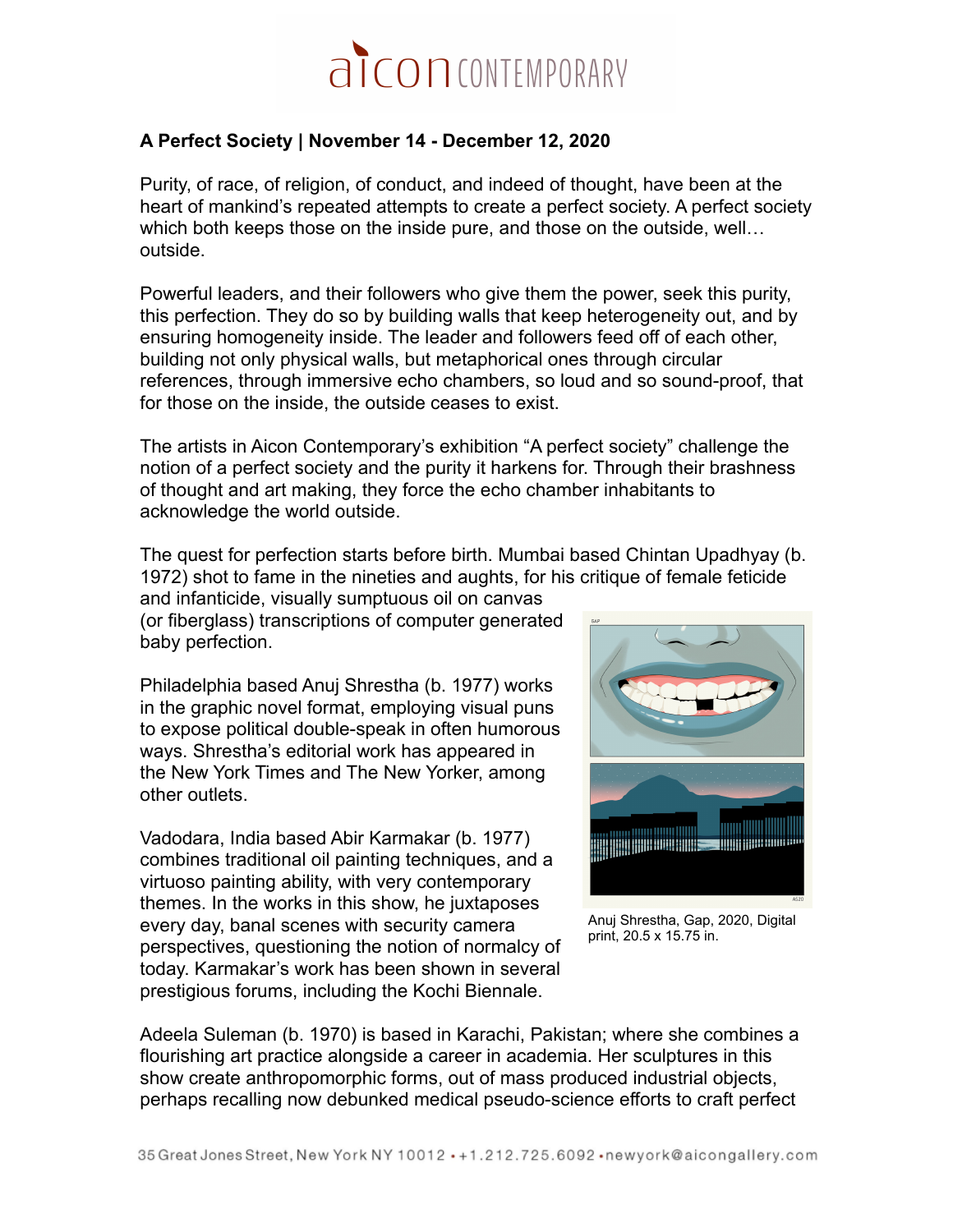

## **A Perfect Society | November 14 - December 12, 2020**

Purity, of race, of religion, of conduct, and indeed of thought, have been at the heart of mankind's repeated attempts to create a perfect society. A perfect society which both keeps those on the inside pure, and those on the outside, well… outside.

Powerful leaders, and their followers who give them the power, seek this purity, this perfection. They do so by building walls that keep heterogeneity out, and by ensuring homogeneity inside. The leader and followers feed off of each other, building not only physical walls, but metaphorical ones through circular references, through immersive echo chambers, so loud and so sound-proof, that for those on the inside, the outside ceases to exist.

The artists in Aicon Contemporary's exhibition "A perfect society" challenge the notion of a perfect society and the purity it harkens for. Through their brashness of thought and art making, they force the echo chamber inhabitants to acknowledge the world outside.

The quest for perfection starts before birth. Mumbai based Chintan Upadhyay (b. 1972) shot to fame in the nineties and aughts, for his critique of female feticide

and infanticide, visually sumptuous oil on canvas (or fiberglass) transcriptions of computer generated baby perfection.

Philadelphia based Anuj Shrestha (b. 1977) works in the graphic novel format, employing visual puns to expose political double-speak in often humorous ways. Shrestha's editorial work has appeared in the New York Times and The New Yorker, among other outlets.

Vadodara, India based Abir Karmakar (b. 1977) combines traditional oil painting techniques, and a virtuoso painting ability, with very contemporary themes. In the works in this show, he juxtaposes every day, banal scenes with security camera perspectives, questioning the notion of normalcy of today. Karmakar's work has been shown in several prestigious forums, including the Kochi Biennale.



Anuj Shrestha, Gap, 2020, Digital print, 20.5 x 15.75 in.

Adeela Suleman (b. 1970) is based in Karachi, Pakistan; where she combines a flourishing art practice alongside a career in academia. Her sculptures in this show create anthropomorphic forms, out of mass produced industrial objects, perhaps recalling now debunked medical pseudo-science efforts to craft perfect